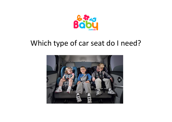

### Which type of car seat do I need?

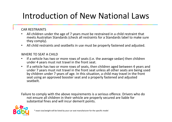# Introduction of New National Laws

### CAR RESTRAINTS

- All children under the age of 7 years must be restrained in a child restraint that  $\bullet$ meets Australian Standards (check all restraints for a Standards label to make sure they comply).
- $\bullet$ All child restraints and seatbelts in use must be properly fastened and adjusted.

### WHERE TO SEAT A CHILD

- If a vehicle has two or more rows of seats (i.e. the average sedan) then children  $\bullet$ under 4 years must not travel in the front seat.
- $\bullet$  If a vehicle has two or more rows of seats, then children aged between 4 years and under 7 years must not travel in the front seat unless all other seats are being used by children under 7 years of age. In this situation, a child may travel in the front seat using an approved booster seat and a properly fastened and adjusted seatbelt.

Failure to comply with the above requirements is a serious offence. Drivers who do not ensure all children in their vehicle are properly secured are liable for substantial fines and will incur demerit points.

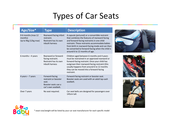## Types of Car Seats

f.

| Age/Size*                                             | <b>Type</b>                                                                                   | <b>Description</b>                                                                                                                                                                                                                                                                                                                       |
|-------------------------------------------------------|-----------------------------------------------------------------------------------------------|------------------------------------------------------------------------------------------------------------------------------------------------------------------------------------------------------------------------------------------------------------------------------------------------------------------------------------------|
| 0-6 months (max 12<br>months)<br>Up to 9kg (12kg max) | Rearward facing infant<br>restraint.<br>Restraint has its own<br>inbuilt harness              | A capsule (pictured) or a convertible restraint<br>that combines the features of rearward-facing<br>and forward-facing restraints in one child<br>restraint. These restraints accommodate babies<br>from birth in rearward-facing mode and can then<br>be converted to forward-facing when the child is<br>around 6 to 12 months of age. |
| 6 months $-$ 4 years                                  | Rearward or forward-<br>facing restraint.<br>Restraint has its own<br>inbuilt harness         | Children aged between 6 months and 4 years<br>must be restrained in an approved rearward or<br>forward-facing restraint. Once your child has<br>outgrown their rearward-facing restraint (this<br>usually happens from around 6 to 12 months<br>they can be moved into a forward-facing<br>restraint.                                    |
| 4 years - 7 years                                     | Forward-facing<br>restraint or booster<br>seat.<br>Booster seats use a<br>car's own seatbelt. | Forward-facing restraint or booster seat.<br>Booster seats are used with an adult lap-sash<br>seathelt.                                                                                                                                                                                                                                  |
| Over 7 years                                          | No seat required.                                                                             | Car seat belts are designed for passengers over<br>145cm tall.                                                                                                                                                                                                                                                                           |



\* exact size/weight will be listed by your car seat manufacturer for each specific model